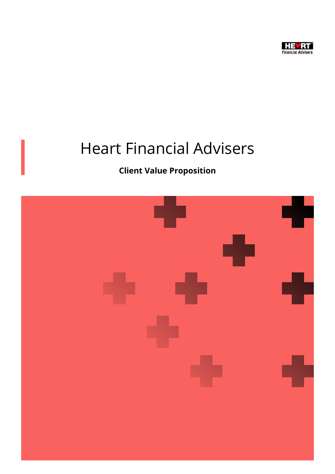

# Heart Financial Advisers

## Client Value Proposition

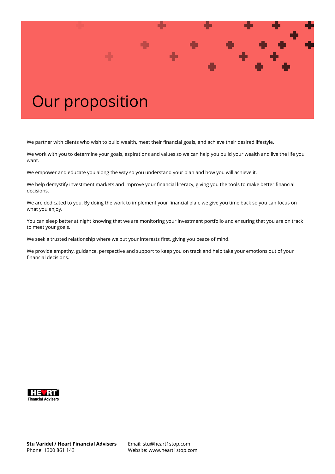

We partner with clients who wish to build wealth, meet their financial goals, and achieve their desired lifestyle.

We work with you to determine your goals, aspirations and values so we can help you build your wealth and live the life you want.

We empower and educate you along the way so you understand your plan and how you will achieve it.

We help demystify investment markets and improve your financial literacy, giving you the tools to make better financial decisions.

We are dedicated to you. By doing the work to implement your financial plan, we give you time back so you can focus on what you enjoy.

You can sleep better at night knowing that we are monitoring your investment portfolio and ensuring that you are on track to meet your goals.

We seek a trusted relationship where we put your interests first, giving you peace of mind.

We provide empathy, guidance, perspective and support to keep you on track and help take your emotions out of your financial decisions.

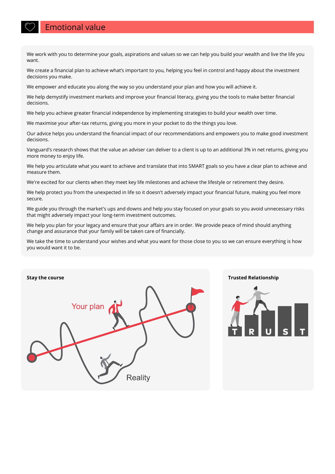### Emotional value

We work with you to determine your goals, aspirations and values so we can help you build your wealth and live the life you want.

We create a financial plan to achieve what's important to you, helping you feel in control and happy about the investment decisions you make.

We empower and educate you along the way so you understand your plan and how you will achieve it.

We help demystify investment markets and improve your financial literacy, giving you the tools to make better financial decisions.

We help you achieve greater financial independence by implementing strategies to build your wealth over time.

We maximise your after-tax returns, giving you more in your pocket to do the things you love.

Our advice helps you understand the financial impact of our recommendations and empowers you to make good investment decisions.

Vanguard's research shows that the value an adviser can deliver to a client is up to an additional 3% in net returns, giving you more money to enjoy life.

We help you articulate what you want to achieve and translate that into SMART goals so you have a clear plan to achieve and measure them.

We're excited for our clients when they meet key life milestones and achieve the lifestyle or retirement they desire.

We help protect you from the unexpected in life so it doesn't adversely impact your financial future, making you feel more secure.

We guide you through the market's ups and downs and help you stay focused on your goals so you avoid unnecessary risks that might adversely impact your long-term investment outcomes.

We help you plan for your legacy and ensure that your affairs are in order. We provide peace of mind should anything change and assurance that your family will be taken care of financially.

We take the time to understand your wishes and what you want for those close to you so we can ensure everything is how you would want it to be.



### Stay the course Trusted Relationship

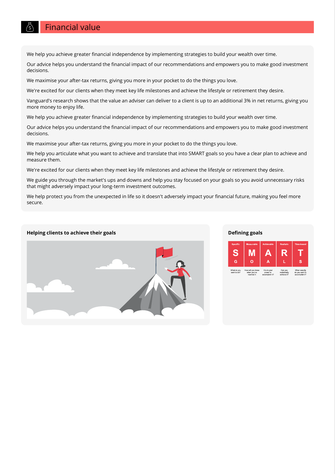### Financial value

We help you achieve greater financial independence by implementing strategies to build your wealth over time.

Our advice helps you understand the financial impact of our recommendations and empowers you to make good investment decisions.

We maximise your after-tax returns, giving you more in your pocket to do the things you love.

We're excited for our clients when they meet key life milestones and achieve the lifestyle or retirement they desire.

Vanguard's research shows that the value an adviser can deliver to a client is up to an additional 3% in net returns, giving you more money to enjoy life.

We help you achieve greater financial independence by implementing strategies to build your wealth over time.

Our advice helps you understand the financial impact of our recommendations and empowers you to make good investment decisions.

We maximise your after-tax returns, giving you more in your pocket to do the things you love.

We help you articulate what you want to achieve and translate that into SMART goals so you have a clear plan to achieve and measure them.

We're excited for our clients when they meet key life milestones and achieve the lifestyle or retirement they desire.

We guide you through the market's ups and downs and help you stay focused on your goals so you avoid unnecessary risks that might adversely impact your long-term investment outcomes.

We help protect you from the unexpected in life so it doesn't adversely impact your financial future, making you feel more secure.

#### Helping clients to achieve their goals and the control of the control of the Defining goals Defining goals



### S M Ġ  $\overline{O}$ What do you It is in your<br>power to<br>accomplish it? Can you<br>realistical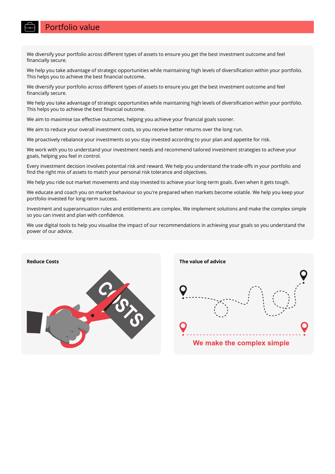### Portfolio value

We diversify your portfolio across different types of assets to ensure you get the best investment outcome and feel financially secure.

We help you take advantage of strategic opportunities while maintaining high levels of diversification within your portfolio. This helps you to achieve the best financial outcome.

We diversify your portfolio across different types of assets to ensure you get the best investment outcome and feel financially secure.

We help you take advantage of strategic opportunities while maintaining high levels of diversification within your portfolio. This helps you to achieve the best financial outcome.

We aim to maximise tax effective outcomes, helping you achieve your financial goals sooner.

We aim to reduce your overall investment costs, so you receive better returns over the long run.

We proactively rebalance your investments so you stay invested according to your plan and appetite for risk.

We work with you to understand your investment needs and recommend tailored investment strategies to achieve your goals, helping you feel in control.

Every investment decision involves potential risk and reward. We help you understand the trade-offs in your portfolio and find the right mix of assets to match your personal risk tolerance and objectives.

We help you ride out market movements and stay invested to achieve your long-term goals. Even when it gets tough.

We educate and coach you on market behaviour so you're prepared when markets become volatile. We help you keep your portfolio invested for long-term success.

Investment and superannuation rules and entitlements are complex. We implement solutions and make the complex simple so you can invest and plan with confidence.

We use digital tools to help you visualise the impact of our recommendations in achieving your goals so you understand the power of our advice.